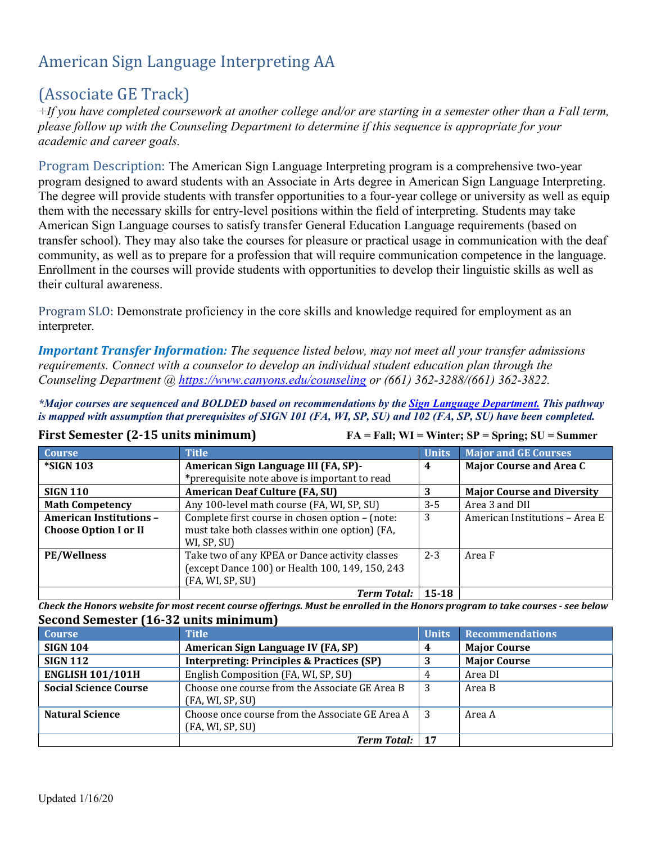# American Sign Language Interpreting AA

# (Associate GE Track)

*+If you have completed coursework at another college and/or are starting in a semester other than a Fall term, please follow up with the Counseling Department to determine if this sequence is appropriate for your academic and career goals.* 

Program Description: The American Sign Language Interpreting program is a comprehensive two-year program designed to award students with an Associate in Arts degree in American Sign Language Interpreting. The degree will provide students with transfer opportunities to a four-year college or university as well as equip them with the necessary skills for entry-level positions within the field of interpreting. Students may take American Sign Language courses to satisfy transfer General Education Language requirements (based on transfer school). They may also take the courses for pleasure or practical usage in communication with the deaf community, as well as to prepare for a profession that will require communication competence in the language. Enrollment in the courses will provide students with opportunities to develop their linguistic skills as well as their cultural awareness.

Program SLO: Demonstrate proficiency in the core skills and knowledge required for employment as an interpreter.

*Important Transfer Information: The sequence listed below, may not meet all your transfer admissions requirements. Connect with a counselor to develop an individual student education plan through the Counseling Department @<https://www.canyons.edu/counseling>or (661) 362-3288/(661) 362-3822.*

*\*Major courses are sequenced and BOLDED based on recommendations by the [Sign Language Department.](https://www.canyons.edu/academics/signlanguage/index.php) This pathway*  is mapped with assumption that prerequisites of SIGN 101 (FA, WI, SP, SU) and 102 (FA, SP, SU) have been completed.

**First Semester (2-15 units minimum) FA = Fall; WI = Winter; SP = Spring; SU = Summer**

| <b>Course</b>                  | <b>Title</b>                                    | <b>Units</b> | <b>Major and GE Courses</b>       |
|--------------------------------|-------------------------------------------------|--------------|-----------------------------------|
| <b>*SIGN 103</b>               | American Sign Language III (FA, SP)-            | 4            | <b>Major Course and Area C</b>    |
|                                | *prerequisite note above is important to read   |              |                                   |
| <b>SIGN 110</b>                | <b>American Deaf Culture (FA, SU)</b>           | 3            | <b>Major Course and Diversity</b> |
| <b>Math Competency</b>         | Any 100-level math course (FA, WI, SP, SU)      | $3 - 5$      | Area 3 and DII                    |
| <b>American Institutions -</b> | Complete first course in chosen option - (note: | 3            | American Institutions - Area E    |
| <b>Choose Option I or II</b>   | must take both classes within one option) (FA,  |              |                                   |
|                                | WI, SP, SU)                                     |              |                                   |
| <b>PE/Wellness</b>             | Take two of any KPEA or Dance activity classes  | $2 - 3$      | Area F                            |
|                                | (except Dance 100) or Health 100, 149, 150, 243 |              |                                   |
|                                | (FA, WI, SP, SU)                                |              |                                   |
|                                | <b>Term Total:</b>                              | $15 - 18$    |                                   |

*Check the Honors website for most recent course offerings. Must be enrolled in the Honors program to take courses - see below* **Second Semester (16-32 units minimum)**

| <b>Course</b>                | <b>Title</b>                                                        | <b>Units</b>   | <b>Recommendations</b> |
|------------------------------|---------------------------------------------------------------------|----------------|------------------------|
| <b>SIGN 104</b>              | American Sign Language IV (FA, SP)                                  | $\overline{4}$ | <b>Major Course</b>    |
| <b>SIGN 112</b>              | <b>Interpreting: Principles &amp; Practices (SP)</b>                |                | <b>Major Course</b>    |
| <b>ENGLISH 101/101H</b>      | English Composition (FA, WI, SP, SU)                                | 4              | Area DI                |
| <b>Social Science Course</b> | Choose one course from the Associate GE Area B<br>(FA, WI, SP, SU)  | -3             | Area B                 |
| <b>Natural Science</b>       | Choose once course from the Associate GE Area A<br>(FA, WI, SP, SU) | - 3            | Area A                 |
|                              | <b>Term Total:</b>                                                  | - 17           |                        |